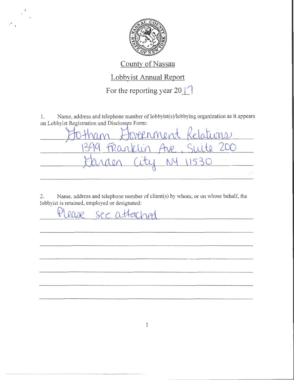

## County of Nassau

## Lobbyist Annual Report

For the reporting year 20  $\Box$ 

1. Name, address and telephone number of lobbyist(s)/lobbying organization as it appears<br>on Lobbyist Registration and Disclosure Form:<br> $\begin{bmatrix} 1 & 0 & 0 \\ 0 & 0 & 0 \\ 0 & 0 & 0 \end{bmatrix}$ 

Suite 200 Franklin VP.

2. Name, address and telephone number of client(s) by whom, or on whose behalf, the lobbyist is retained, employed or designated:

1

thease see attached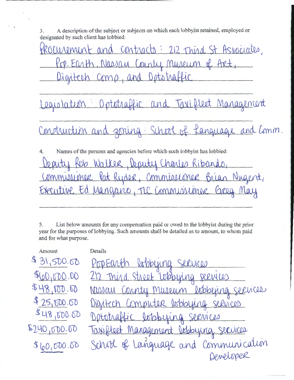A description of the subject or subjects on which each lobby ist retained, employed or 3. designated by such client has lobbied:

Procurement and contracts: 212 Third St Associates, Pop. Earth, Nassau County Museum of Art Digitech Comp, and Optotraffic

Legislation : Optotraffic and Taxified Management

Construction and zoning: School of Kanguage and Comm.

4. Names of the persons and agencies before which such lobby ist has lobbied: Walter Kibando Deputy Commissioner Pat Ryder, Commissioner Brian Nigent, Executive Ed Mangano, TLC Commussioner Greg M

5. List below amounts for any compensation paid or owed to the lobby ist during the prior year for the purposes of lobbying. Such amounts shall be detailed as to amount, to whom paid and for what purpose.

| Amount      | Details                                |
|-------------|----------------------------------------|
| \$31,500.60 | PopEarth lobbying services             |
| 90,000.00   | 212 Third Street Wheying seevices      |
| 548,000.00  | Masau Connty Museum Isbbying services  |
| \$25,500.00 | Digitech Computer lookbying services   |
| \$48,000.00 | Optotraffic lobbying services          |
| 5240,000.00 | Toxifleet Management Jobbying services |
| 0.0000008   | School of Language and Communication   |
|             | Developer                              |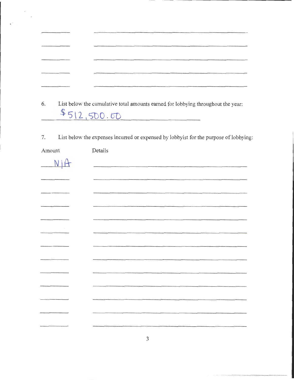$\bar{a}$ 

6. List below the cumulative total amounts earned for lobbying throughout the year:  $$512,500.00$ 

7. List below the expenses incurred or expensed by lobbyist for the purpose of lobbying:

| Amount         | Details |
|----------------|---------|
| N <sub>1</sub> |         |
|                |         |
|                |         |
|                |         |
|                |         |
|                |         |
|                |         |
|                |         |
|                |         |
|                |         |
|                |         |
|                |         |
|                |         |
|                |         |
|                |         |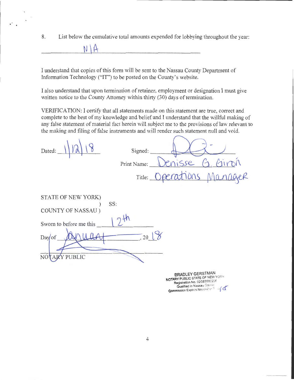8. List below the cumulative total amounts expended for lobbying throughout the year:

I understand that copies of this form will be sent to the Nassau County Department of Information Technology ("IT") to be posted on the County's website.

**N \A-**

I also understand that upon termination of retainer, employment or designation I must give written notice to the County Attorney within thirty (30) days of termination.

VERIFICATION: I certify that all statements made on this statement are true, correct and complete to the best of my knowledge and belief and I understand that the willful making of any false statement of material fact herein will subject me to the provisions of law relevant to the making and filing of false instruments and will render such statement null and void.

| Dated:                       | Signed:         |                                                                                            |
|------------------------------|-----------------|--------------------------------------------------------------------------------------------|
|                              | Print Name:     | isse                                                                                       |
|                              |                 | Title: Operations Manno<br>RR                                                              |
| STATE OF NEW YORK)           | SS:             |                                                                                            |
| COUNTY OF NASSAU)            |                 |                                                                                            |
| Sworn to before me this      |                 |                                                                                            |
| Dayof                        | 20 <sup>1</sup> |                                                                                            |
| ARY PUBLIC<br>N <sub>O</sub> |                 |                                                                                            |
|                              |                 | <b>BRADLEY GERSTMAN</b><br>NOTARY PUBLIC STATE OF NEW YORK<br>Registration No. 02GE6080226 |

Registration No. 02GE6080226<br>Qualified in Nassau Courrey<br>Commission Expires November <sup>7</sup> : 19**/ C**